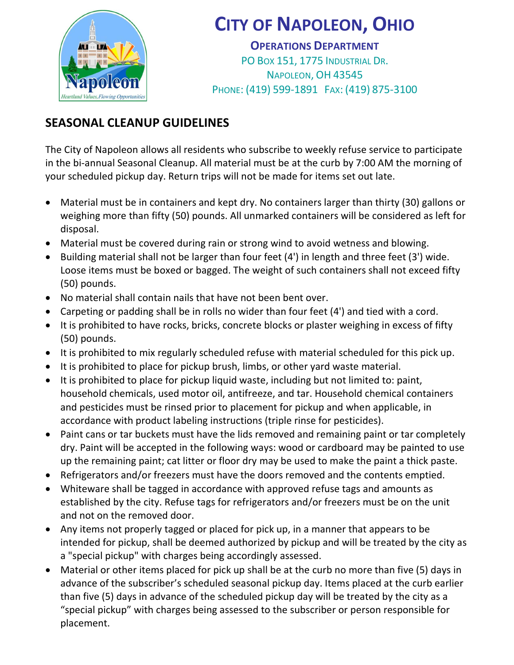

## CITY OF NAPOLEON, OHIO

OPERATIONS DEPARTMENT PO BOX 151, 1775 INDUSTRIAL DR. NAPOLEON, OH 43545 PHONE: (419) 599-1891 FAX: (419) 875-3100

## SEASONAL CLEANUP GUIDELINES

The City of Napoleon allows all residents who subscribe to weekly refuse service to participate in the bi-annual Seasonal Cleanup. All material must be at the curb by 7:00 AM the morning of your scheduled pickup day. Return trips will not be made for items set out late.

- Material must be in containers and kept dry. No containers larger than thirty (30) gallons or weighing more than fifty (50) pounds. All unmarked containers will be considered as left for disposal.
- Material must be covered during rain or strong wind to avoid wetness and blowing.
- Building material shall not be larger than four feet (4') in length and three feet (3') wide. Loose items must be boxed or bagged. The weight of such containers shall not exceed fifty (50) pounds.
- No material shall contain nails that have not been bent over.
- Carpeting or padding shall be in rolls no wider than four feet (4') and tied with a cord.
- It is prohibited to have rocks, bricks, concrete blocks or plaster weighing in excess of fifty (50) pounds.
- It is prohibited to mix regularly scheduled refuse with material scheduled for this pick up.
- It is prohibited to place for pickup brush, limbs, or other yard waste material.
- It is prohibited to place for pickup liquid waste, including but not limited to: paint, household chemicals, used motor oil, antifreeze, and tar. Household chemical containers and pesticides must be rinsed prior to placement for pickup and when applicable, in accordance with product labeling instructions (triple rinse for pesticides).
- Paint cans or tar buckets must have the lids removed and remaining paint or tar completely dry. Paint will be accepted in the following ways: wood or cardboard may be painted to use up the remaining paint; cat litter or floor dry may be used to make the paint a thick paste.
- Refrigerators and/or freezers must have the doors removed and the contents emptied.
- Whiteware shall be tagged in accordance with approved refuse tags and amounts as established by the city. Refuse tags for refrigerators and/or freezers must be on the unit and not on the removed door.
- Any items not properly tagged or placed for pick up, in a manner that appears to be intended for pickup, shall be deemed authorized by pickup and will be treated by the city as a "special pickup" with charges being accordingly assessed.
- Material or other items placed for pick up shall be at the curb no more than five (5) days in advance of the subscriber's scheduled seasonal pickup day. Items placed at the curb earlier than five (5) days in advance of the scheduled pickup day will be treated by the city as a "special pickup" with charges being assessed to the subscriber or person responsible for placement.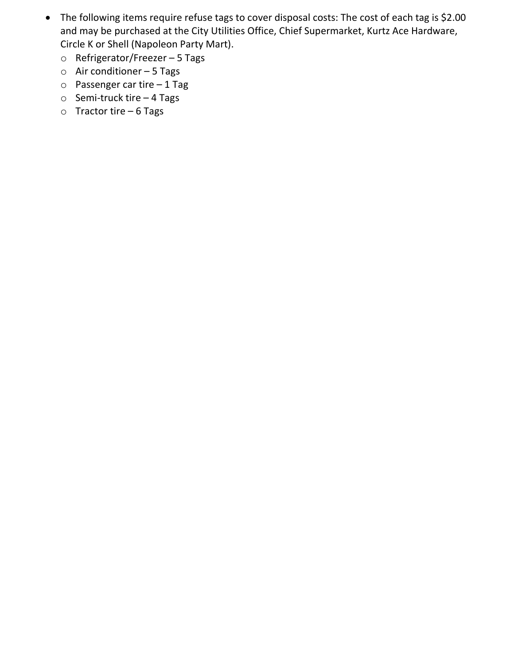- The following items require refuse tags to cover disposal costs: The cost of each tag is \$2.00 and may be purchased at the City Utilities Office, Chief Supermarket, Kurtz Ace Hardware, Circle K or Shell (Napoleon Party Mart).
	- o Refrigerator/Freezer 5 Tags
	- $\circ$  Air conditioner 5 Tags
	- o Passenger car tire 1 Tag
	- o Semi-truck tire 4 Tags
	- o Tractor tire 6 Tags